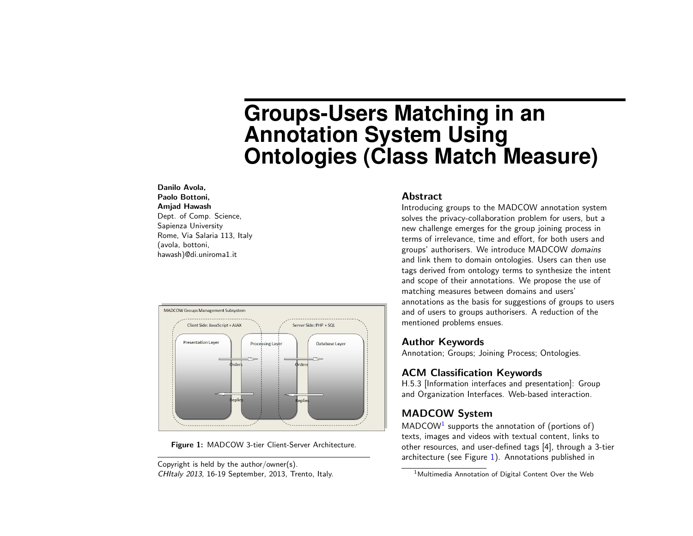# **Groups-Users Matching in an Annotation System Using Ontologies (Class Match Measure)**

#### Danilo Avola, Paolo Bottoni, Amjad Hawash Dept. of Comp. Science, Sapienza University Rome, Via Salaria 113, Italy (avola, bottoni, hawash)@di.uniroma1.it



<span id="page-0-1"></span>

Copyright is held by the author/owner(s). CHItaly 2013, 16-19 September, 2013, Trento, Italy.

## Abstract

Introducing groups to the MADCOW annotation system solves the privacy-collaboration problem for users, but a new challenge emerges for the group joining process in terms of irrelevance, time and effort, for both users and groups' authorisers. We introduce MADCOW domains and link them to domain ontologies. Users can then use tags derived from ontology terms to synthesize the intent and scope of their annotations. We propose the use of matching measures between domains and users' annotations as the basis for suggestions of groups to users and of users to groups authorisers. A reduction of the mentioned problems ensues.

## Author Keywords

Annotation; Groups; Joining Process; Ontologies.

## ACM Classification Keywords

H.5.3 [Information interfaces and presentation]: Group and Organization Interfaces. Web-based interaction.

# MADCOW System

 $MADCOW<sup>1</sup>$  $MADCOW<sup>1</sup>$  $MADCOW<sup>1</sup>$  supports the annotation of (portions of) texts, images and videos with textual content, links to other resources, and user-defined tags [\[4\]](#page-3-0), through a 3-tier architecture (see Figure  $1$ ). Annotations published in

<span id="page-0-0"></span><sup>&</sup>lt;sup>1</sup>Multimedia Annotation of Digital Content Over the Web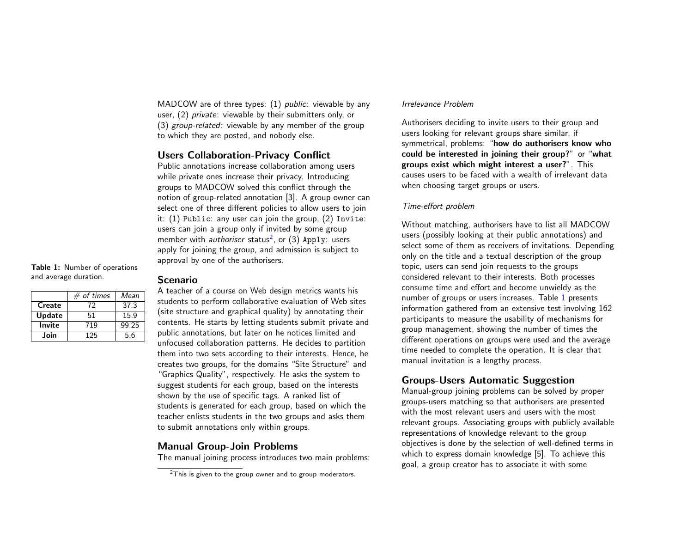MADCOW are of three types: (1) *public*: viewable by any user, (2) private: viewable by their submitters only, or (3) group-related: viewable by any member of the group to which they are posted, and nobody else.

## Users Collaboration-Privacy Conflict

Public annotations increase collaboration among users while private ones increase their privacy. Introducing groups to MADCOW solved this conflict through the notion of group-related annotation [\[3\]](#page-3-1). A group owner can select one of three different policies to allow users to join it: (1) Public: any user can join the group, (2) Invite: users can join a group only if invited by some group member with *authoriser* status $^2$  $^2$ , or (3) Apply: users apply for joining the group, and admission is subject to approval by one of the authorisers.

<span id="page-1-1"></span>Table 1: Number of operations and average duration.

|        | $#$ of times | Mean  |
|--------|--------------|-------|
| Create | 72           | 37.3  |
| Update | 51           | 15.9  |
| Invite | 719          | 99.25 |
| Join   | 125          | 5.6   |

#### Scenario

A teacher of a course on Web design metrics wants his students to perform collaborative evaluation of Web sites (site structure and graphical quality) by annotating their contents. He starts by letting students submit private and public annotations, but later on he notices limited and unfocused collaboration patterns. He decides to partition them into two sets according to their interests. Hence, he creates two groups, for the domains "Site Structure" and "Graphics Quality", respectively. He asks the system to suggest students for each group, based on the interests shown by the use of specific tags. A ranked list of students is generated for each group, based on which the teacher enlists students in the two groups and asks them to submit annotations only within groups.

#### Manual Group-Join Problems

The manual joining process introduces two main problems:

#### Irrelevance Problem

Authorisers deciding to invite users to their group and users looking for relevant groups share similar, if symmetrical, problems: "how do authorisers know who could be interested in joining their group?" or "what groups exist which might interest a user?". This causes users to be faced with a wealth of irrelevant data when choosing target groups or users.

#### Time-effort problem

Without matching, authorisers have to list all MADCOW users (possibly looking at their public annotations) and select some of them as receivers of invitations. Depending only on the title and a textual description of the group topic, users can send join requests to the groups considered relevant to their interests. Both processes consume time and effort and become unwieldy as the number of groups or users increases. Table [1](#page-1-1) presents information gathered from an extensive test involving 162 participants to measure the usability of mechanisms for group management, showing the number of times the different operations on groups were used and the average time needed to complete the operation. It is clear that manual invitation is a lengthy process.

## Groups-Users Automatic Suggestion

Manual-group joining problems can be solved by proper groups-users matching so that authorisers are presented with the most relevant users and users with the most relevant groups. Associating groups with publicly available representations of knowledge relevant to the group objectives is done by the selection of well-defined terms in which to express domain knowledge [\[5\]](#page-3-2). To achieve this goal, a group creator has to associate it with some

<span id="page-1-0"></span> $2$ This is given to the group owner and to group moderators.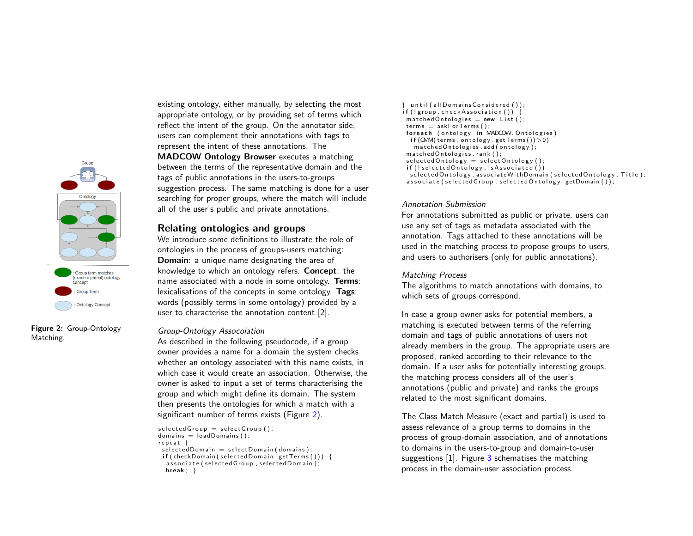

Figure 2: Group-Ontology Matching.

existing ontology, either manually, by selecting the most appropriate ontology, or by providing set of terms which reflect the intent of the group. On the annotator side, users can complement their annotations with tags to represent the intent of these annotations. The MADCOW Ontology Browser executes a matching between the terms of the representative domain and the tags of public annotations in the users-to-groups suggestion process. The same matching is done for a user searching for proper groups, where the match will include all of the user's public and private annotations.

### Relating ontologies and groups

We introduce some definitions to illustrate the role of ontologies in the process of groups-users matching: Domain: a unique name designating the area of knowledge to which an ontology refers. Concept: the name associated with a node in some ontology. Terms: lexicalisations of the concepts in some ontology. Tags: words (possibly terms in some ontology) provided by a user to characterise the annotation content [\[2\]](#page-3-3).

#### <span id="page-2-0"></span>Group-Ontology Assocoiation

As described in the following pseudocode, if a group owner provides a name for a domain the system checks whether an ontology associated with this name exists, in which case it would create an association. Otherwise, the owner is asked to input a set of terms characterising the group and which might define its domain. The system then presents the ontologies for which a match with a significant number of terms exists (Figure [2\)](#page-2-0).

```
selected Group = selectGroup():
domains = loadDomains():
r e p e a t {
 selectedDomain = selectDomain (domains);if (checkDomain (selected Domain.getTerms()) )\overrightarrow{a} ssociate (selected Group, selected Domain);
  break; \}
```

```
\} until (all Domains Considered () );
if (!group. checkAssociation())m at ched Ontologies = new List ();
 terms = askForTerms();
 foreach (ontology in MADCOW. Ontologies)
  if (OMM (terms, ontology .getTerms()) > 0)
   m at ched Ontologies . add ( ontology);
 matched Ontologies. rank();
 selected Ontology = selectOnology();
 if (!selected Ontology.isAssociated()selected Ontology . associate With Domain (selected Ontology . Title);
 associate (selected Group, selected Ontology . get Domain ());
```
#### Annotation Submission

For annotations submitted as public or private, users can use any set of tags as metadata associated with the annotation. Tags attached to these annotations will be used in the matching process to propose groups to users, and users to authorisers (only for public annotations).

#### Matching Process

The algorithms to match annotations with domains, to which sets of groups correspond.

In case a group owner asks for potential members, a matching is executed between terms of the referring domain and tags of public annotations of users not already members in the group. The appropriate users are proposed, ranked according to their relevance to the domain. If a user asks for potentially interesting groups, the matching process considers all of the user's annotations (public and private) and ranks the groups related to the most significant domains.

The Class Match Measure (exact and partial) is used to assess relevance of a group terms to domains in the process of group-domain association, and of annotations to domains in the users-to-group and domain-to-user suggestions  $[1]$ . Figure [3](#page-3-5) schematises the matching process in the domain-user association process.